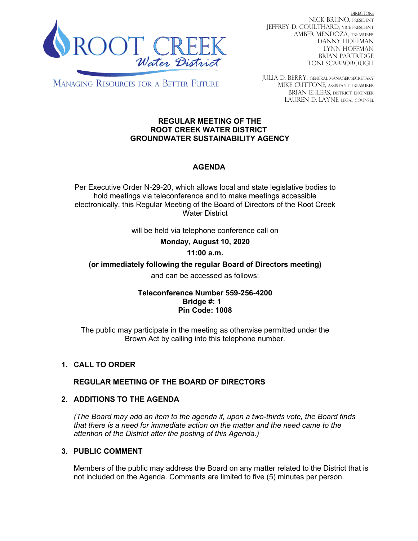

DIRECTORS NICK BRUNO, PRESIDENT JEFFREY D. COULTHARD, Vice President AMBER MENDOZA, TREASURER DANNY HOFFMAN LYNN HOFFMAN BRIAN PARTRIDGE TONI SCARBOROUGH

**MANAGING RESOURCES FOR A BETTER FUTURE** 

JULIA D. BERRY, GENERAL MANAGER/secretary MIKE CUTTONE, Assistant treasurer BRIAN EHLERS, DISTRICT ENGINEER LAUREN D. LAYNE, LEGAL COUNSEL

#### **REGULAR MEETING OF THE ROOT CREEK WATER DISTRICT GROUNDWATER SUSTAINABILITY AGENCY**

# **AGENDA**

Per Executive Order N-29-20, which allows local and state legislative bodies to hold meetings via teleconference and to make meetings accessible electronically, this Regular Meeting of the Board of Directors of the Root Creek Water District

will be held via telephone conference call on

**Monday, August 10, 2020** 

# **11:00 a.m.**

**(or immediately following the regular Board of Directors meeting)**

and can be accessed as follows:

### **Teleconference Number 559-256-4200 Bridge #: 1 Pin Code: 1008**

The public may participate in the meeting as otherwise permitted under the Brown Act by calling into this telephone number.

# **1. CALL TO ORDER**

### **REGULAR MEETING OF THE BOARD OF DIRECTORS**

### **2. ADDITIONS TO THE AGENDA**

*(The Board may add an item to the agenda if, upon a two-thirds vote, the Board finds that there is a need for immediate action on the matter and the need came to the attention of the District after the posting of this Agenda.)*

## **3. PUBLIC COMMENT**

Members of the public may address the Board on any matter related to the District that is not included on the Agenda. Comments are limited to five (5) minutes per person.